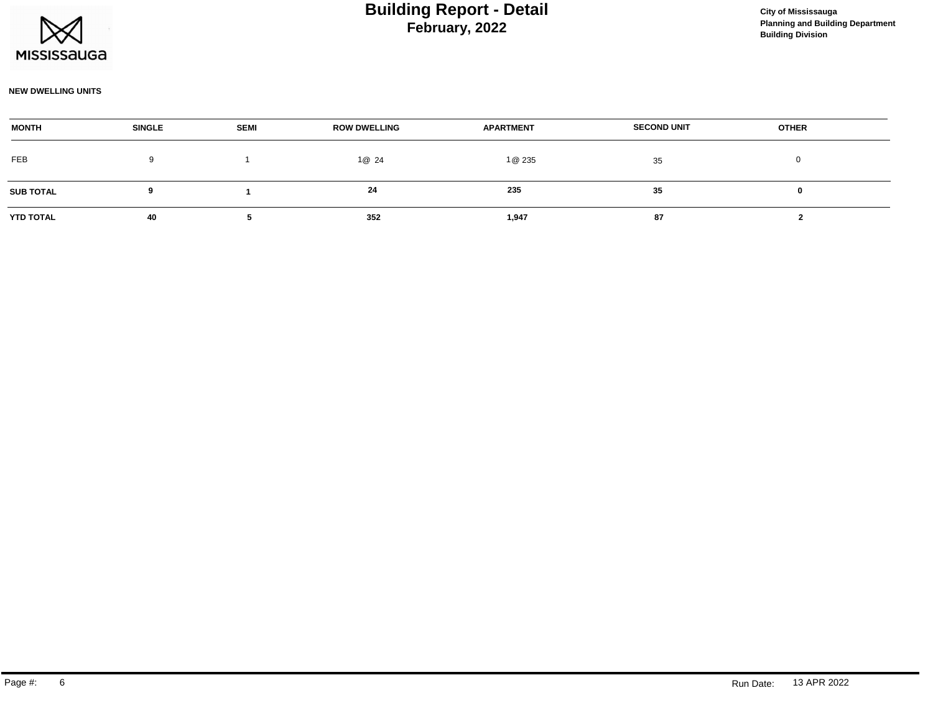

#### **NEW DWELLING UNITS**

| <b>MONTH</b>     | <b>SINGLE</b> | <b>SEMI</b> | <b>ROW DWELLING</b> | <b>APARTMENT</b> | <b>SECOND UNIT</b> | <b>OTHER</b> |  |
|------------------|---------------|-------------|---------------------|------------------|--------------------|--------------|--|
| FEB              | 9             |             | 1@ 24               | 1@ 235           | 35                 |              |  |
| <b>SUB TOTAL</b> |               |             | 24                  | 235              | 35                 |              |  |
| <b>YTD TOTAL</b> | 40            |             | 352                 | 1,947            | 87                 |              |  |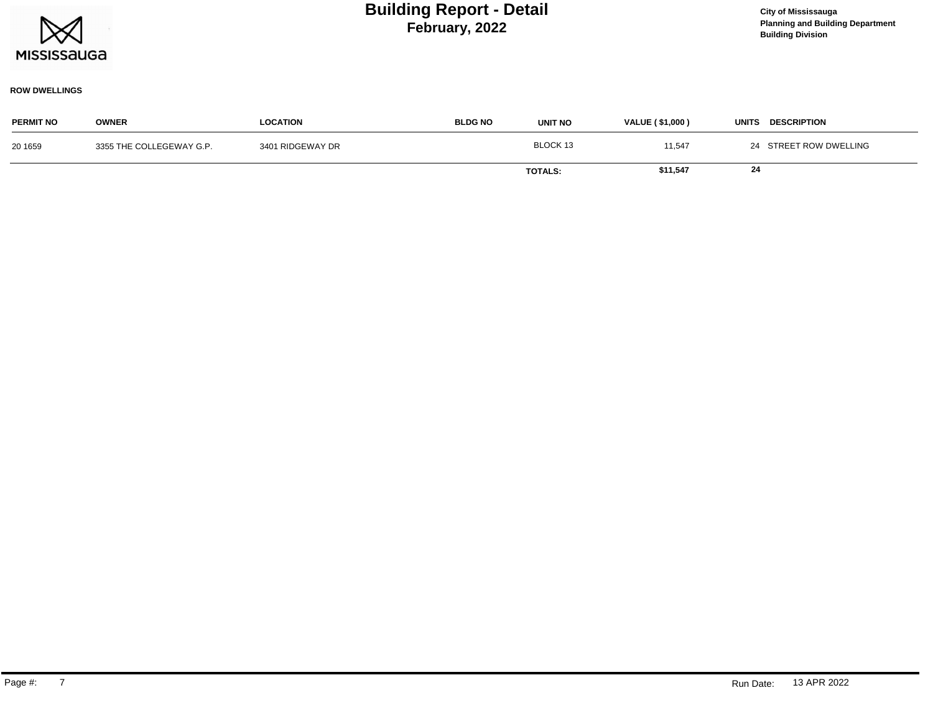

### **ROW DWELLINGS**

| <b>PERMIT NO</b> | <b>OWNER</b>             | <b>LOCATION</b>  | <b>BLDG NO</b> | <b>UNIT NO</b> | <b>VALUE (\$1,000)</b> | <b>DESCRIPTION</b><br>UNITS |
|------------------|--------------------------|------------------|----------------|----------------|------------------------|-----------------------------|
| 20 1659          | 3355 THE COLLEGEWAY G.P. | 3401 RIDGEWAY DR |                | BLOCK 13       | 11,547                 | 24 STREET ROW DWELLING      |
|                  |                          |                  |                | <b>TOTALS:</b> | \$11,547               | 24                          |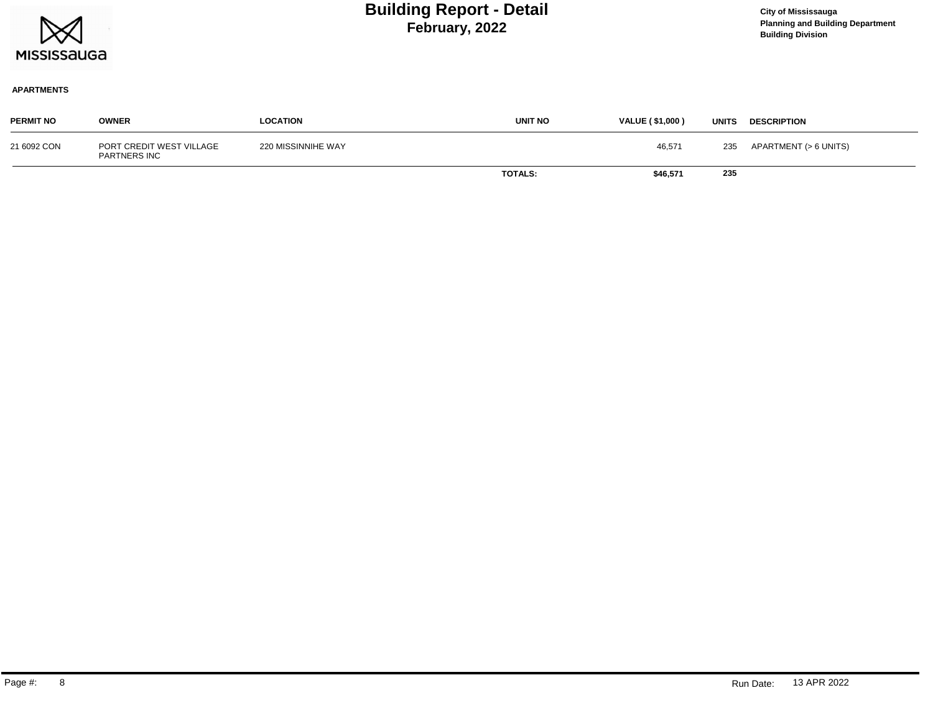

### **APARTMENTS**

| <b>PERMIT NO</b> | <b>OWNER</b>                             | <b>LOCATION</b>    | <b>UNIT NO</b> | <b>VALUE (\$1,000)</b> | <b>UNITS</b> | <b>DESCRIPTION</b>    |
|------------------|------------------------------------------|--------------------|----------------|------------------------|--------------|-----------------------|
| 21 6092 CON      | PORT CREDIT WEST VILLAGE<br>PARTNERS INC | 220 MISSINNIHE WAY |                | 46,571                 | 235          | APARTMENT (> 6 UNITS) |
|                  |                                          |                    | <b>TOTALS:</b> | \$46,571               | 235          |                       |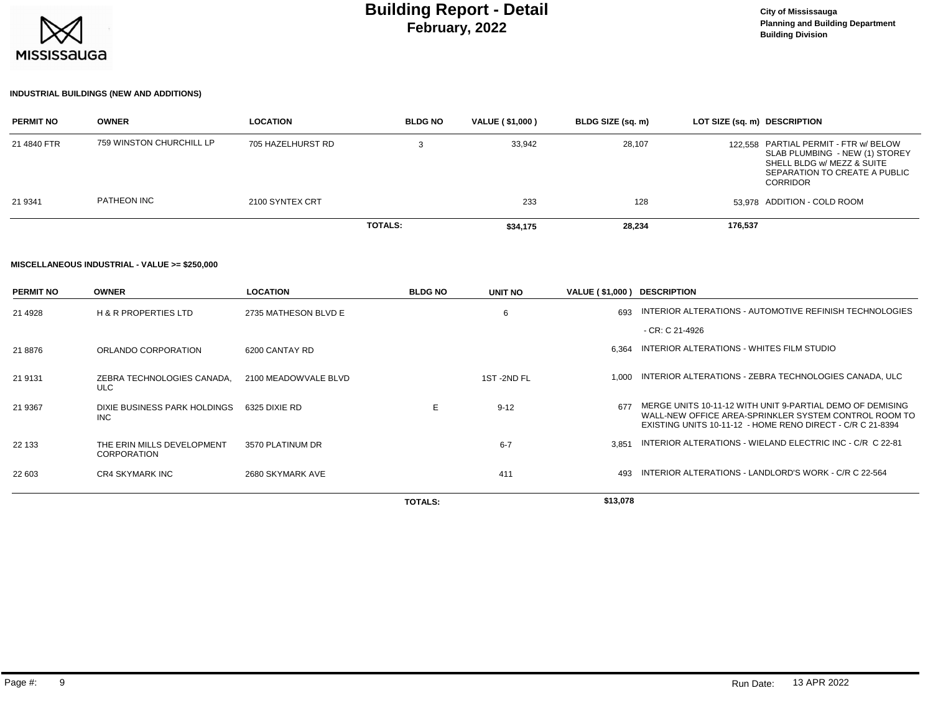

## **INDUSTRIAL BUILDINGS (NEW AND ADDITIONS)**

| <b>PERMIT NO</b> | <b>OWNER</b>             | <b>LOCATION</b>   | <b>BLDG NO</b> | VALUE (\$1,000) | BLDG SIZE (sq. m) | LOT SIZE (sq. m) DESCRIPTION                                                                                                                              |
|------------------|--------------------------|-------------------|----------------|-----------------|-------------------|-----------------------------------------------------------------------------------------------------------------------------------------------------------|
| 21 4840 FTR      | 759 WINSTON CHURCHILL LP | 705 HAZELHURST RD |                | 33,942          | 28,107            | 122.558 PARTIAL PERMIT - FTR w/ BELOW<br>SLAB PLUMBING - NEW (1) STOREY<br>SHELL BLDG w/ MEZZ & SUITE<br>SEPARATION TO CREATE A PUBLIC<br><b>CORRIDOR</b> |
| 21 9341          | PATHEON INC              | 2100 SYNTEX CRT   |                | 233             | 128               | 53.978 ADDITION - COLD ROOM                                                                                                                               |
|                  |                          |                   | <b>TOTALS:</b> | \$34,175        | 28.234            | 176,537                                                                                                                                                   |

#### **MISCELLANEOUS INDUSTRIAL - VALUE >= \$250,000**

| <b>PERMIT NO</b> | <b>OWNER</b>                                     | <b>LOCATION</b>      | <b>BLDG NO</b> | <b>UNIT NO</b> | VALUE (\$1,000) DESCRIPTION |                                                                                                                                                                                  |
|------------------|--------------------------------------------------|----------------------|----------------|----------------|-----------------------------|----------------------------------------------------------------------------------------------------------------------------------------------------------------------------------|
| 21 4928          | <b>H &amp; R PROPERTIES LTD</b>                  | 2735 MATHESON BLVD E |                | 6              | 693                         | INTERIOR ALTERATIONS - AUTOMOTIVE REFINISH TECHNOLOGIES                                                                                                                          |
|                  |                                                  |                      |                |                |                             | - CR: C 21-4926                                                                                                                                                                  |
| 21 8876          | ORLANDO CORPORATION                              | 6200 CANTAY RD       |                |                | 6.364                       | INTERIOR ALTERATIONS - WHITES FILM STUDIO                                                                                                                                        |
| 21 9131          | ZEBRA TECHNOLOGIES CANADA.<br><b>ULC</b>         | 2100 MEADOWVALE BLVD |                | 1ST-2ND FL     | 1.000                       | INTERIOR ALTERATIONS - ZEBRA TECHNOLOGIES CANADA, ULC                                                                                                                            |
| 21 9367          | DIXIE BUSINESS PARK HOLDINGS<br><b>INC</b>       | 6325 DIXIE RD        | E              | $9 - 12$       | 677                         | MERGE UNITS 10-11-12 WITH UNIT 9-PARTIAL DEMO OF DEMISING<br>WALL-NEW OFFICE AREA-SPRINKLER SYSTEM CONTROL ROOM TO<br>EXISTING UNITS 10-11-12 - HOME RENO DIRECT - C/R C 21-8394 |
| 22 133           | THE ERIN MILLS DEVELOPMENT<br><b>CORPORATION</b> | 3570 PLATINUM DR     |                | $6 - 7$        | 3.851                       | INTERIOR ALTERATIONS - WIELAND ELECTRIC INC - C/R C 22-81                                                                                                                        |
| 22 603           | <b>CR4 SKYMARK INC</b>                           | 2680 SKYMARK AVE     |                | 411            | 493                         | INTERIOR ALTERATIONS - LANDLORD'S WORK - C/R C 22-564                                                                                                                            |
|                  |                                                  |                      | <b>TOTALS:</b> |                | \$13,078                    |                                                                                                                                                                                  |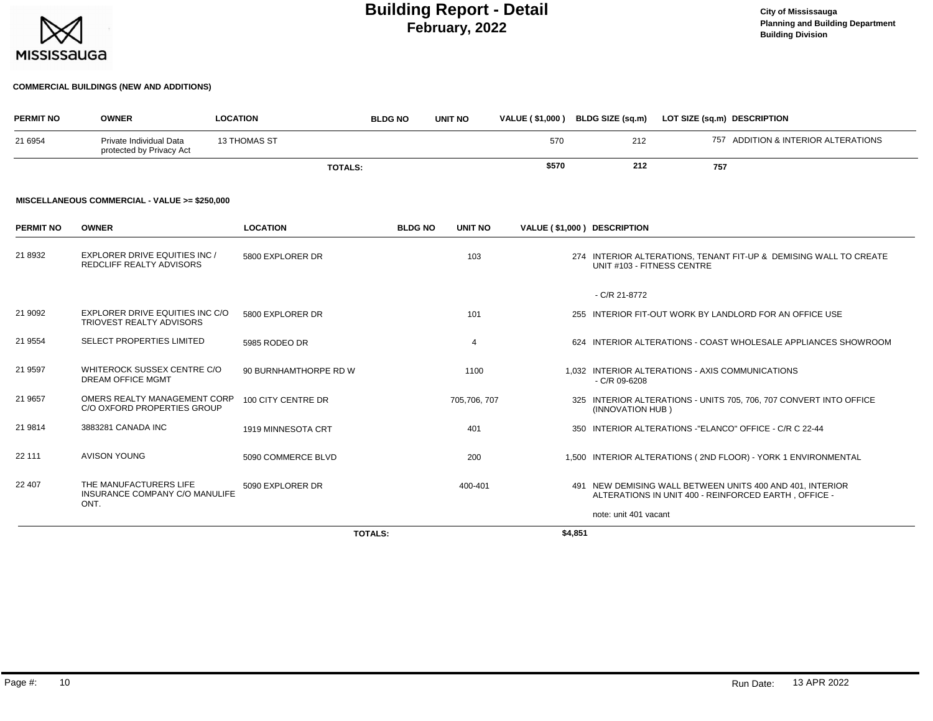

## **COMMERCIAL BUILDINGS (NEW AND ADDITIONS)**

| <b>PERMIT NO</b> | <b>OWNER</b>                                                     | <b>LOCATION</b>       | <b>BLDG NO</b> | <b>UNIT NO</b> | <b>VALUE (\$1,000)</b> |         | BLDG SIZE (sq.m)            | LOT SIZE (sq.m) DESCRIPTION                      |                                                                                                                   |
|------------------|------------------------------------------------------------------|-----------------------|----------------|----------------|------------------------|---------|-----------------------------|--------------------------------------------------|-------------------------------------------------------------------------------------------------------------------|
| 21 6954          | Private Individual Data<br>protected by Privacy Act              | <b>13 THOMAS ST</b>   |                |                | 570                    |         | 212                         |                                                  | 757 ADDITION & INTERIOR ALTERATIONS                                                                               |
|                  |                                                                  | <b>TOTALS:</b>        |                |                | \$570                  |         | 212                         | 757                                              |                                                                                                                   |
|                  | MISCELLANEOUS COMMERCIAL - VALUE >= \$250,000                    |                       |                |                |                        |         |                             |                                                  |                                                                                                                   |
| <b>PERMIT NO</b> | <b>OWNER</b>                                                     | <b>LOCATION</b>       | <b>BLDG NO</b> | <b>UNIT NO</b> |                        |         | VALUE (\$1,000) DESCRIPTION |                                                  |                                                                                                                   |
| 21 8932          | <b>EXPLORER DRIVE EQUITIES INC /</b><br>REDCLIFF REALTY ADVISORS | 5800 EXPLORER DR      |                | 103            |                        |         | UNIT #103 - FITNESS CENTRE  |                                                  | 274 INTERIOR ALTERATIONS, TENANT FIT-UP & DEMISING WALL TO CREATE                                                 |
|                  |                                                                  |                       |                |                |                        |         | - C/R 21-8772               |                                                  |                                                                                                                   |
| 21 9092          | EXPLORER DRIVE EQUITIES INC C/O<br>TRIOVEST REALTY ADVISORS      | 5800 EXPLORER DR      |                | 101            |                        |         |                             |                                                  | 255 INTERIOR FIT-OUT WORK BY LANDLORD FOR AN OFFICE USE                                                           |
| 21 9554          | <b>SELECT PROPERTIES LIMITED</b>                                 | 5985 RODEO DR         |                | $\overline{4}$ |                        |         |                             |                                                  | 624 INTERIOR ALTERATIONS - COAST WHOLESALE APPLIANCES SHOWROOM                                                    |
| 21 9597          | WHITEROCK SUSSEX CENTRE C/O<br><b>DREAM OFFICE MGMT</b>          | 90 BURNHAMTHORPE RD W |                | 1100           |                        |         | $-C/R$ 09-6208              | 1,032 INTERIOR ALTERATIONS - AXIS COMMUNICATIONS |                                                                                                                   |
| 21 9657          | OMERS REALTY MANAGEMENT CORP<br>C/O OXFORD PROPERTIES GROUP      | 100 CITY CENTRE DR    |                | 705,706, 707   |                        |         | (INNOVATION HUB)            |                                                  | 325 INTERIOR ALTERATIONS - UNITS 705, 706, 707 CONVERT INTO OFFICE                                                |
| 21 9814          | 3883281 CANADA INC                                               | 1919 MINNESOTA CRT    |                | 401            |                        |         |                             |                                                  | 350 INTERIOR ALTERATIONS -"ELANCO" OFFICE - C/R C 22-44                                                           |
| 22 111           | <b>AVISON YOUNG</b>                                              | 5090 COMMERCE BLVD    |                | 200            |                        |         |                             |                                                  | 1,500 INTERIOR ALTERATIONS (2ND FLOOR) - YORK 1 ENVIRONMENTAL                                                     |
| 22 407           | THE MANUFACTURERS LIFE<br>INSURANCE COMPANY C/O MANULIFE<br>ONT. | 5090 EXPLORER DR      |                | 400-401        |                        |         |                             |                                                  | 491 NEW DEMISING WALL BETWEEN UNITS 400 AND 401, INTERIOR<br>ALTERATIONS IN UNIT 400 - REINFORCED EARTH, OFFICE - |
|                  |                                                                  |                       |                |                |                        |         | note: unit 401 vacant       |                                                  |                                                                                                                   |
|                  |                                                                  |                       | <b>TOTALS:</b> |                |                        | \$4,851 |                             |                                                  |                                                                                                                   |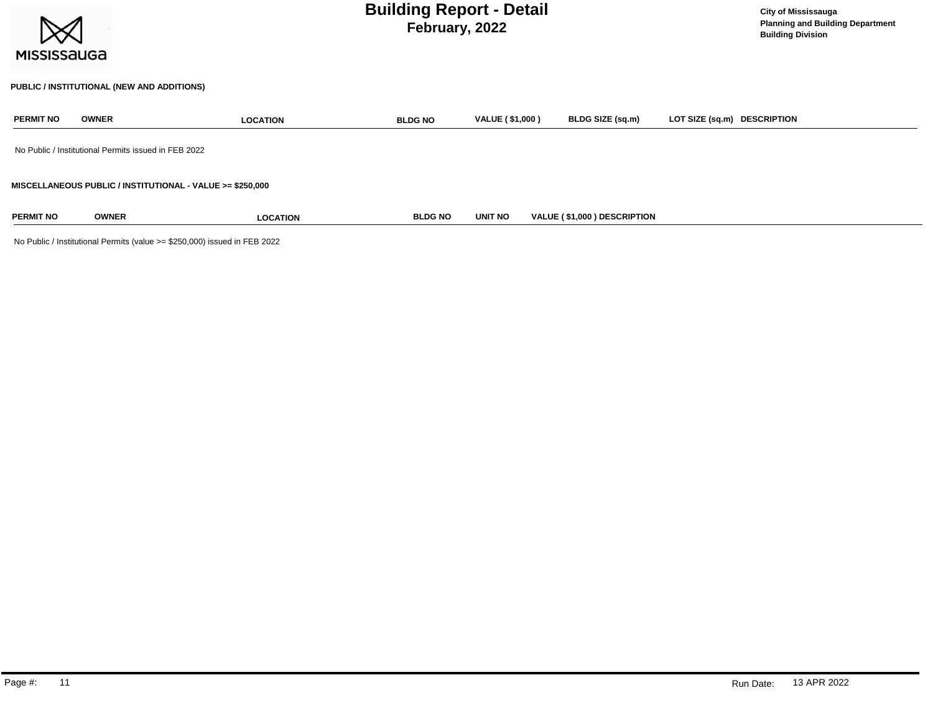| <b>MISSISSAUGA</b> |                                                      | <b>Building Report - Detail</b>                           | <b>City of Mississauga</b><br><b>Planning and Building Department</b><br><b>Building Division</b> |                        |                             |                             |
|--------------------|------------------------------------------------------|-----------------------------------------------------------|---------------------------------------------------------------------------------------------------|------------------------|-----------------------------|-----------------------------|
|                    |                                                      | PUBLIC / INSTITUTIONAL (NEW AND ADDITIONS)                |                                                                                                   |                        |                             |                             |
| <b>PERMIT NO</b>   | <b>OWNER</b>                                         | <b>LOCATION</b>                                           | <b>BLDG NO</b>                                                                                    | <b>VALUE (\$1,000)</b> | BLDG SIZE (sq.m)            | LOT SIZE (sq.m) DESCRIPTION |
|                    | No Public / Institutional Permits issued in FEB 2022 |                                                           |                                                                                                   |                        |                             |                             |
|                    |                                                      | MISCELLANEOUS PUBLIC / INSTITUTIONAL - VALUE >= \$250,000 |                                                                                                   |                        |                             |                             |
| <b>PERMIT NO</b>   | <b>OWNER</b>                                         | <b>LOCATION</b>                                           | <b>BLDG NO</b>                                                                                    | <b>UNIT NO</b>         | VALUE (\$1,000) DESCRIPTION |                             |

No Public / Institutional Permits (value >= \$250,000) issued in FEB 2022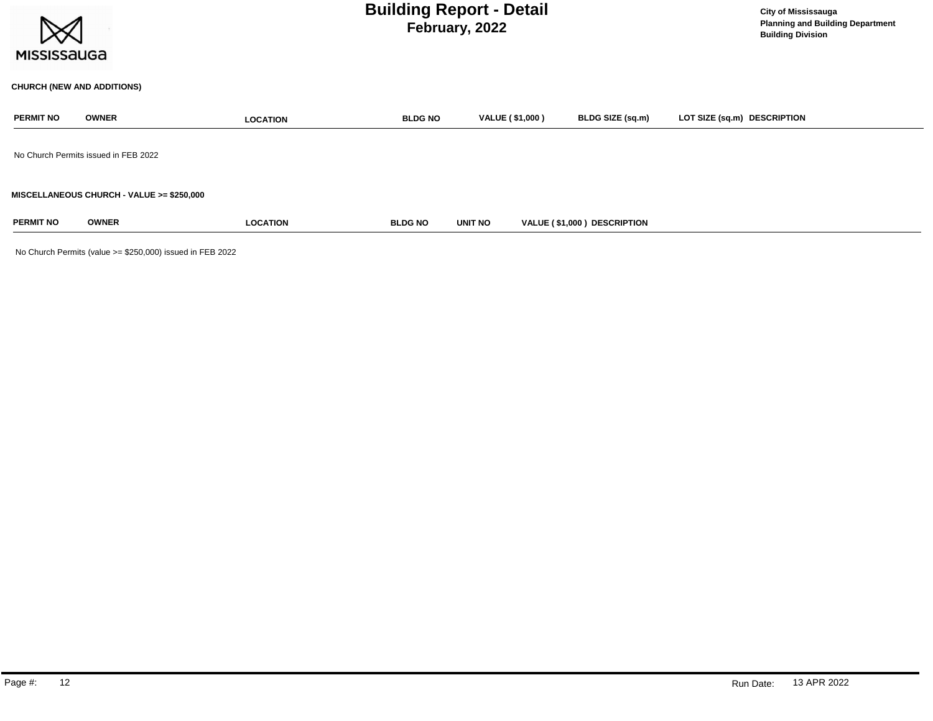| <b>Building Report - Detail</b><br>February, 2022<br><b>MISSISSAUGA</b> |                                           |                 |                |                        |                             | <b>City of Mississauga</b><br><b>Planning and Building Department</b><br><b>Building Division</b> |
|-------------------------------------------------------------------------|-------------------------------------------|-----------------|----------------|------------------------|-----------------------------|---------------------------------------------------------------------------------------------------|
|                                                                         | <b>CHURCH (NEW AND ADDITIONS)</b>         |                 |                |                        |                             |                                                                                                   |
| <b>PERMIT NO</b>                                                        | <b>OWNER</b>                              | <b>LOCATION</b> | <b>BLDG NO</b> | <b>VALUE (\$1,000)</b> | BLDG SIZE (sq.m)            | LOT SIZE (sq.m) DESCRIPTION                                                                       |
|                                                                         | No Church Permits issued in FEB 2022      |                 |                |                        |                             |                                                                                                   |
|                                                                         | MISCELLANEOUS CHURCH - VALUE >= \$250,000 |                 |                |                        |                             |                                                                                                   |
| <b>PERMIT NO</b>                                                        | <b>OWNER</b>                              | <b>LOCATION</b> | <b>BLDG NO</b> | UNIT NO                | VALUE (\$1,000) DESCRIPTION |                                                                                                   |

No Church Permits (value >= \$250,000) issued in FEB 2022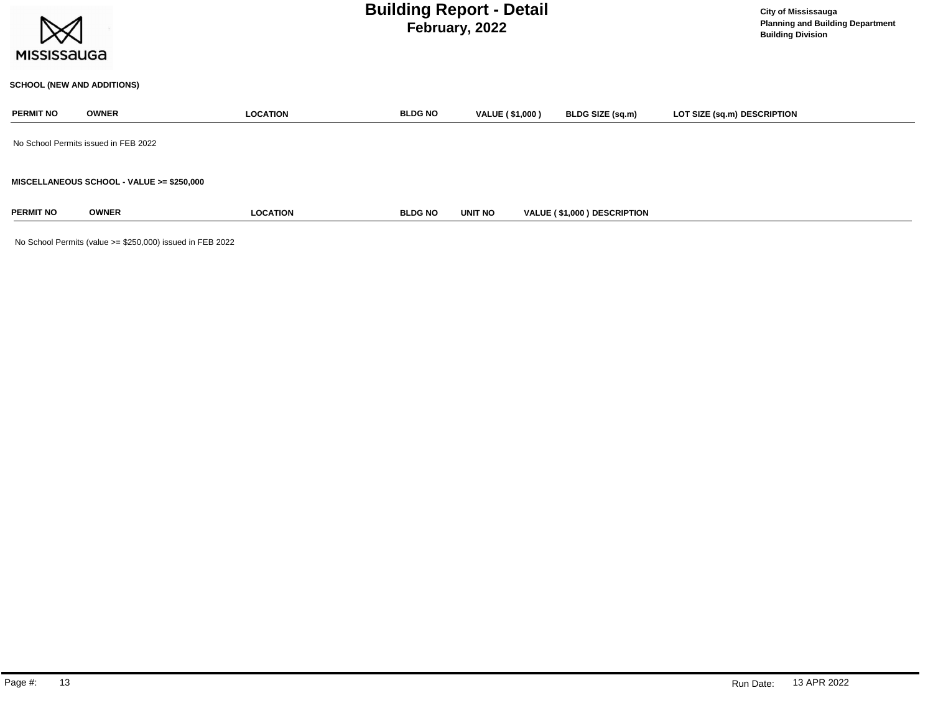

## **SCHOOL (NEW AND ADDITIONS)**

| <b>PERMIT NO</b> | <b>OWNER</b>                              | <b>LOCATION</b> | <b>BLDG NO</b> | <b>VALUE (\$1,000)</b> | BLDG SIZE (sq.m)            | LOT SIZE (sq.m) DESCRIPTION |
|------------------|-------------------------------------------|-----------------|----------------|------------------------|-----------------------------|-----------------------------|
|                  | No School Permits issued in FEB 2022      |                 |                |                        |                             |                             |
|                  | MISCELLANEOUS SCHOOL - VALUE >= \$250,000 |                 |                |                        |                             |                             |
| <b>PERMIT NO</b> | <b>OWNER</b>                              | <b>LOCATION</b> | <b>BLDG NO</b> | <b>UNIT NO</b>         | VALUE (\$1,000) DESCRIPTION |                             |

No School Permits (value >= \$250,000) issued in FEB 2022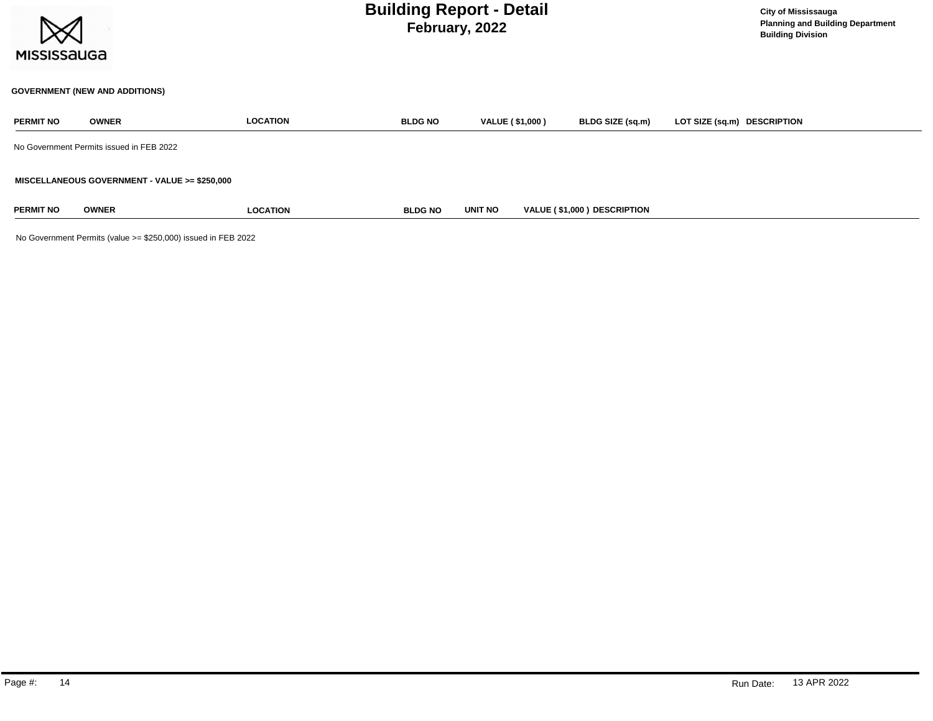

## **GOVERNMENT (NEW AND ADDITIONS)**

| <b>PERMIT NO</b> | <b>OWNER</b>                                  | <b>LOCATION</b> | <b>BLDG NO</b> | VALUE (\$1,000) | <b>BLDG SIZE (sq.m)</b>            | LOT SIZE (sq.m) DESCRIPTION |
|------------------|-----------------------------------------------|-----------------|----------------|-----------------|------------------------------------|-----------------------------|
|                  | No Government Permits issued in FEB 2022      |                 |                |                 |                                    |                             |
|                  | MISCELLANEOUS GOVERNMENT - VALUE >= \$250,000 |                 |                |                 |                                    |                             |
| <b>PERMIT NO</b> | <b>OWNER</b>                                  | <b>LOCATION</b> | <b>BLDG NO</b> | <b>UNIT NO</b>  | <b>VALUE (\$1,000) DESCRIPTION</b> |                             |

No Government Permits (value >= \$250,000) issued in FEB 2022